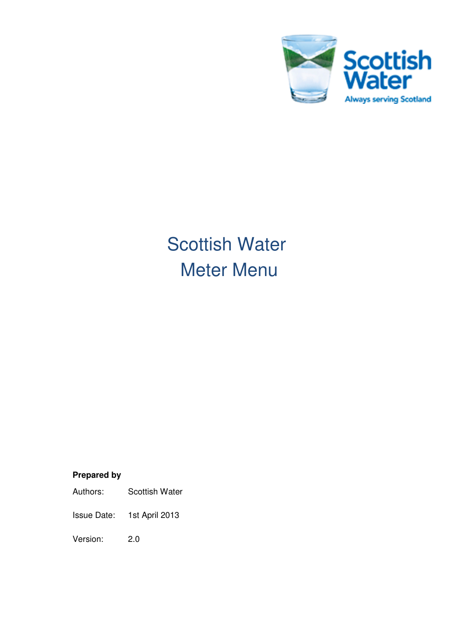

# Scottish Water Meter Menu

## **Prepared by**

Issue Date: 1st April 2013

Version: 2.0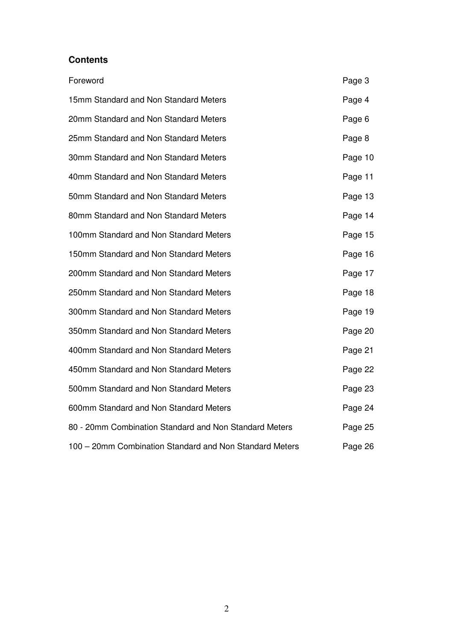#### **Contents**

| Foreword                                                | Page 3  |
|---------------------------------------------------------|---------|
| 15mm Standard and Non Standard Meters                   | Page 4  |
| 20mm Standard and Non Standard Meters                   | Page 6  |
| 25mm Standard and Non Standard Meters                   | Page 8  |
| 30mm Standard and Non Standard Meters                   | Page 10 |
| 40mm Standard and Non Standard Meters                   | Page 11 |
| 50mm Standard and Non Standard Meters                   | Page 13 |
| 80mm Standard and Non Standard Meters                   | Page 14 |
| 100mm Standard and Non Standard Meters                  | Page 15 |
| 150mm Standard and Non Standard Meters                  | Page 16 |
| 200mm Standard and Non Standard Meters                  | Page 17 |
| 250mm Standard and Non Standard Meters                  | Page 18 |
| 300mm Standard and Non Standard Meters                  | Page 19 |
| 350mm Standard and Non Standard Meters                  | Page 20 |
| 400mm Standard and Non Standard Meters                  | Page 21 |
| 450mm Standard and Non Standard Meters                  | Page 22 |
| 500mm Standard and Non Standard Meters                  | Page 23 |
| 600mm Standard and Non Standard Meters                  | Page 24 |
| 80 - 20mm Combination Standard and Non Standard Meters  | Page 25 |
| 100 - 20mm Combination Standard and Non Standard Meters | Page 26 |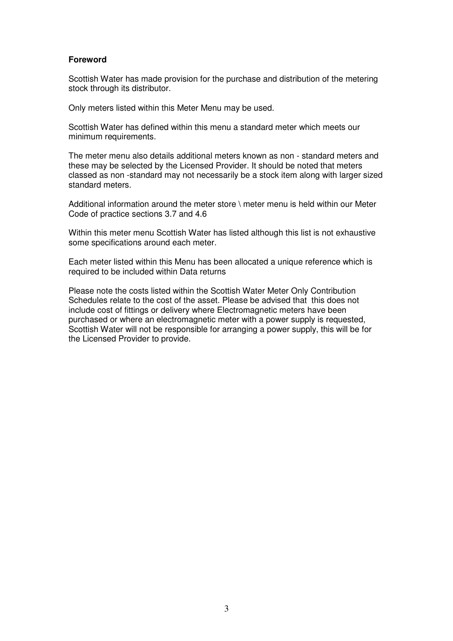#### **Foreword**

Scottish Water has made provision for the purchase and distribution of the metering stock through its distributor.

Only meters listed within this Meter Menu may be used.

Scottish Water has defined within this menu a standard meter which meets our minimum requirements.

The meter menu also details additional meters known as non - standard meters and these may be selected by the Licensed Provider. It should be noted that meters classed as non -standard may not necessarily be a stock item along with larger sized standard meters.

Additional information around the meter store \ meter menu is held within our Meter Code of practice sections 3.7 and 4.6

Within this meter menu Scottish Water has listed although this list is not exhaustive some specifications around each meter.

Each meter listed within this Menu has been allocated a unique reference which is required to be included within Data returns

Please note the costs listed within the Scottish Water Meter Only Contribution Schedules relate to the cost of the asset. Please be advised that this does not include cost of fittings or delivery where Electromagnetic meters have been purchased or where an electromagnetic meter with a power supply is requested, Scottish Water will not be responsible for arranging a power supply, this will be for the Licensed Provider to provide.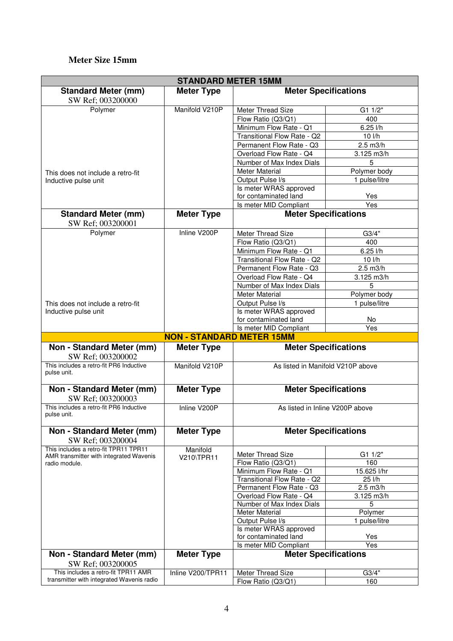#### **Meter Size 15mm**

| <b>STANDARD METER 15MM</b>                                                       |                                  |                                           |                          |  |
|----------------------------------------------------------------------------------|----------------------------------|-------------------------------------------|--------------------------|--|
| <b>Standard Meter (mm)</b>                                                       | <b>Meter Type</b>                | <b>Meter Specifications</b>               |                          |  |
| SW Ref; 003200000                                                                |                                  |                                           |                          |  |
| Polymer                                                                          | Manifold V210P                   | Meter Thread Size                         | G1 1/2"                  |  |
|                                                                                  |                                  | Flow Ratio (Q3/Q1)                        | 400                      |  |
|                                                                                  |                                  | Minimum Flow Rate - Q1                    | 6.25 l/h                 |  |
|                                                                                  |                                  | Transitional Flow Rate - Q2               | 10 l/h                   |  |
|                                                                                  |                                  | Permanent Flow Rate - Q3                  | $2.5$ m $3/h$            |  |
|                                                                                  |                                  | Overload Flow Rate - Q4                   | 3.125 m3/h               |  |
|                                                                                  |                                  | Number of Max Index Dials                 | 5                        |  |
| This does not include a retro-fit                                                |                                  | <b>Meter Material</b>                     | Polymer body             |  |
| Inductive pulse unit                                                             |                                  | Output Pulse I/s                          | 1 pulse/litre            |  |
|                                                                                  |                                  | Is meter WRAS approved                    |                          |  |
|                                                                                  |                                  | for contaminated land                     | Yes                      |  |
|                                                                                  |                                  | Is meter MID Compliant                    | Yes                      |  |
| <b>Standard Meter (mm)</b>                                                       | <b>Meter Type</b>                | <b>Meter Specifications</b>               |                          |  |
| SW Ref; 003200001                                                                |                                  |                                           |                          |  |
| Polymer                                                                          | Inline V200P                     | Meter Thread Size                         | G3/4"                    |  |
|                                                                                  |                                  | Flow Ratio (Q3/Q1)                        | 400                      |  |
|                                                                                  |                                  | Minimum Flow Rate - Q1                    | $6.25$ $I/h$             |  |
|                                                                                  |                                  | Transitional Flow Rate - Q2               | 10 l/h                   |  |
|                                                                                  |                                  | Permanent Flow Rate - Q3                  | $2.5$ m $3/h$            |  |
|                                                                                  |                                  | Overload Flow Rate - Q4                   | 3.125 m3/h               |  |
|                                                                                  |                                  | Number of Max Index Dials                 | 5                        |  |
|                                                                                  |                                  | <b>Meter Material</b>                     | Polymer body             |  |
| This does not include a retro-fit                                                |                                  | Output Pulse I/s                          | 1 pulse/litre            |  |
| Inductive pulse unit                                                             |                                  | Is meter WRAS approved                    |                          |  |
|                                                                                  |                                  | for contaminated land                     | No                       |  |
|                                                                                  |                                  | Is meter MID Compliant                    | Yes                      |  |
|                                                                                  |                                  |                                           |                          |  |
|                                                                                  | <b>NON - STANDARD METER 15MM</b> |                                           |                          |  |
| Non - Standard Meter (mm)<br>SW Ref; 003200002                                   | <b>Meter Type</b>                | <b>Meter Specifications</b>               |                          |  |
| This includes a retro-fit PR6 Inductive<br>pulse unit.                           | Manifold V210P                   | As listed in Manifold V210P above         |                          |  |
| Non - Standard Meter (mm)                                                        | <b>Meter Type</b>                | <b>Meter Specifications</b>               |                          |  |
| SW Ref; 003200003<br>This includes a retro-fit PR6 Inductive<br>pulse unit.      | Inline V200P                     | As listed in Inline V200P above           |                          |  |
|                                                                                  |                                  |                                           |                          |  |
| Non - Standard Meter (mm)<br>SW Ref; 003200004                                   | <b>Meter Type</b>                | <b>Meter Specifications</b>               |                          |  |
| This includes a retro-fit TPR11 TPR11                                            | Manifold                         |                                           |                          |  |
| AMR transmitter with integrated Wavenis                                          | V210\TPR11                       | Meter Thread Size                         | G1 1/2"                  |  |
| radio module.                                                                    |                                  | Flow Ratio (Q3/Q1)                        | 160                      |  |
|                                                                                  |                                  | Minimum Flow Rate - Q1                    | 15.625 l/hr              |  |
|                                                                                  |                                  | Transitional Flow Rate - Q2               | 25 l/h                   |  |
|                                                                                  |                                  | Permanent Flow Rate - Q3                  | $2.5$ m $3/h$            |  |
|                                                                                  |                                  | Overload Flow Rate - Q4                   | 3.125 m3/h<br>5          |  |
|                                                                                  |                                  | Number of Max Index Dials                 |                          |  |
|                                                                                  |                                  | <b>Meter Material</b><br>Output Pulse I/s | Polymer<br>1 pulse/litre |  |
|                                                                                  |                                  | Is meter WRAS approved                    |                          |  |
|                                                                                  |                                  | for contaminated land                     | Yes                      |  |
|                                                                                  |                                  | Is meter MID Compliant                    | Yes                      |  |
| Non - Standard Meter (mm)                                                        | <b>Meter Type</b>                | <b>Meter Specifications</b>               |                          |  |
| SW Ref; 003200005                                                                |                                  |                                           |                          |  |
| This includes a retro-fit TPR11 AMR<br>transmitter with integrated Wavenis radio | Inline V200/TPR11                | Meter Thread Size<br>Flow Ratio (Q3/Q1)   | G3/4"<br>160             |  |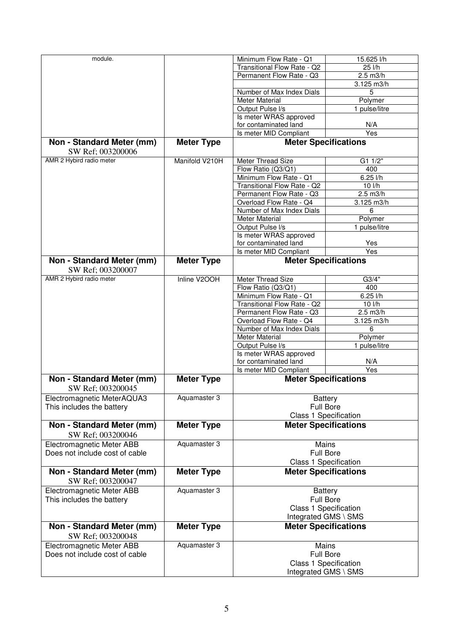| module.                        |                   | Minimum Flow Rate - Q1       | 15.625 l/h                  |
|--------------------------------|-------------------|------------------------------|-----------------------------|
|                                |                   | Transitional Flow Rate - Q2  | 25 l/h                      |
|                                |                   | Permanent Flow Rate - Q3     | 2.5 m3/h                    |
|                                |                   |                              |                             |
|                                |                   |                              | 3.125 m3/h                  |
|                                |                   | Number of Max Index Dials    | 5                           |
|                                |                   | <b>Meter Material</b>        | Polymer                     |
|                                |                   | Output Pulse I/s             | 1 pulse/litre               |
|                                |                   | Is meter WRAS approved       |                             |
|                                |                   | for contaminated land        | N/A                         |
|                                |                   | Is meter MID Compliant       | Yes                         |
| Non - Standard Meter (mm)      | <b>Meter Type</b> | <b>Meter Specifications</b>  |                             |
| SW Ref; 003200006              |                   |                              |                             |
| AMR 2 Hybird radio meter       | Manifold V210H    |                              |                             |
|                                |                   | Meter Thread Size            | G1 1/2"                     |
|                                |                   | Flow Ratio (Q3/Q1)           | 400                         |
|                                |                   | Minimum Flow Rate - Q1       | $6.25$ $1/h$                |
|                                |                   | Transitional Flow Rate - Q2  | 10 l/h                      |
|                                |                   | Permanent Flow Rate - Q3     | 2.5 m3/h                    |
|                                |                   | Overload Flow Rate - Q4      | $3.125$ m $3/h$             |
|                                |                   | Number of Max Index Dials    | 6                           |
|                                |                   | <b>Meter Material</b>        | Polymer                     |
|                                |                   | Output Pulse I/s             | 1 pulse/litre               |
|                                |                   | Is meter WRAS approved       |                             |
|                                |                   | for contaminated land        | Yes                         |
|                                |                   | Is meter MID Compliant       | Yes                         |
|                                |                   | <b>Meter Specifications</b>  |                             |
| Non - Standard Meter (mm)      | <b>Meter Type</b> |                              |                             |
| SW Ref; 003200007              |                   |                              |                             |
| AMR 2 Hybird radio meter       | Inline V2OOH      | Meter Thread Size            | G3/4"                       |
|                                |                   | Flow Ratio (Q3/Q1)           | 400                         |
|                                |                   | Minimum Flow Rate - Q1       | 6.25 l/h                    |
|                                |                   | Transitional Flow Rate - Q2  | $10$ $l/h$                  |
|                                |                   | Permanent Flow Rate - Q3     | 2.5 m3/h                    |
|                                |                   | Overload Flow Rate - Q4      | 3.125 m3/h                  |
|                                |                   | Number of Max Index Dials    | 6                           |
|                                |                   | <b>Meter Material</b>        | Polymer                     |
|                                |                   | Output Pulse I/s             | 1 pulse/litre               |
|                                |                   | Is meter WRAS approved       |                             |
|                                |                   | for contaminated land        | N/A                         |
|                                |                   | Is meter MID Compliant       | $\overline{Yes}$            |
|                                |                   |                              |                             |
| Non - Standard Meter (mm)      | <b>Meter Type</b> | <b>Meter Specifications</b>  |                             |
| SW Ref; 003200045              |                   |                              |                             |
| Electromagnetic MeterAQUA3     | Aquamaster 3      | <b>Battery</b>               |                             |
| This includes the battery      |                   | <b>Full Bore</b>             |                             |
|                                |                   | <b>Class 1 Specification</b> |                             |
| Non - Standard Meter (mm)      | <b>Meter Type</b> | <b>Meter Specifications</b>  |                             |
| SW Ref; 003200046              |                   |                              |                             |
|                                |                   |                              |                             |
| Electromagnetic Meter ABB      | Aquamaster 3      | Mains                        |                             |
| Does not include cost of cable |                   | <b>Full Bore</b>             |                             |
|                                |                   | <b>Class 1 Specification</b> |                             |
| Non - Standard Meter (mm)      | <b>Meter Type</b> |                              | <b>Meter Specifications</b> |
| SW Ref; 003200047              |                   |                              |                             |
| Electromagnetic Meter ABB      | Aquamaster 3      |                              | <b>Battery</b>              |
| This includes the battery      |                   | <b>Full Bore</b>             |                             |
|                                |                   | <b>Class 1 Specification</b> |                             |
|                                |                   |                              | Integrated GMS \ SMS        |
| Non - Standard Meter (mm)      | <b>Meter Type</b> |                              | <b>Meter Specifications</b> |
| SW Ref; 003200048              |                   |                              |                             |
| Electromagnetic Meter ABB      | Aquamaster 3      | Mains                        |                             |
| Does not include cost of cable |                   | <b>Full Bore</b>             |                             |
|                                |                   | <b>Class 1 Specification</b> |                             |
|                                |                   | Integrated GMS \ SMS         |                             |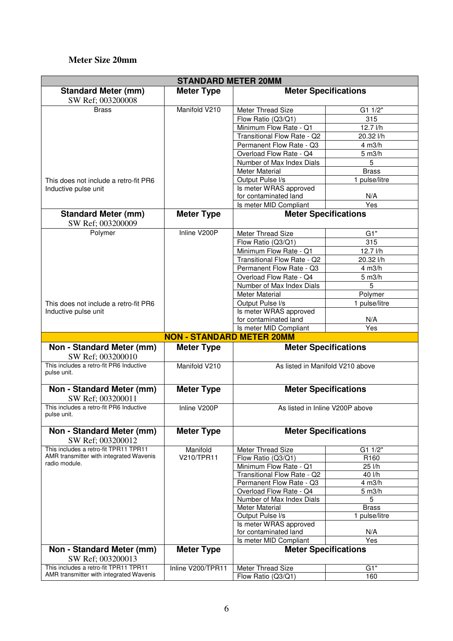#### **Meter Size 20mm**

| <b>STANDARD METER 20MM</b>                                                       |                                  |                                                       |                      |  |
|----------------------------------------------------------------------------------|----------------------------------|-------------------------------------------------------|----------------------|--|
| <b>Standard Meter (mm)</b>                                                       | <b>Meter Type</b>                | <b>Meter Specifications</b>                           |                      |  |
| SW Ref; 003200008                                                                |                                  |                                                       |                      |  |
| <b>Brass</b>                                                                     | Manifold V210                    | Meter Thread Size                                     | G1 1/2"              |  |
|                                                                                  |                                  | Flow Ratio (Q3/Q1)                                    | 315                  |  |
|                                                                                  |                                  | Minimum Flow Rate - Q1                                | 12.7 l/h             |  |
|                                                                                  |                                  | Transitional Flow Rate - Q2                           | 20.32 l/h            |  |
|                                                                                  |                                  | Permanent Flow Rate - Q3                              | 4 m3/h               |  |
|                                                                                  |                                  | Overload Flow Rate - Q4                               | $5 \text{ m3/h}$     |  |
|                                                                                  |                                  | Number of Max Index Dials                             | 5                    |  |
|                                                                                  |                                  | <b>Meter Material</b>                                 | <b>Brass</b>         |  |
| This does not include a retro-fit PR6                                            |                                  | Output Pulse I/s                                      | 1 pulse/litre        |  |
| Inductive pulse unit                                                             |                                  | Is meter WRAS approved                                |                      |  |
|                                                                                  |                                  | for contaminated land                                 | N/A                  |  |
|                                                                                  |                                  | Is meter MID Compliant                                | Yes                  |  |
| <b>Standard Meter (mm)</b><br>SW Ref; 003200009                                  | <b>Meter Type</b>                | <b>Meter Specifications</b>                           |                      |  |
| Polymer                                                                          | Inline V200P                     | Meter Thread Size                                     | G1"                  |  |
|                                                                                  |                                  | Flow Ratio (Q3/Q1)                                    | 315                  |  |
|                                                                                  |                                  | Minimum Flow Rate - Q1                                | 12.7 l/h             |  |
|                                                                                  |                                  | Transitional Flow Rate - Q2                           | 20.32 l/h            |  |
|                                                                                  |                                  | Permanent Flow Rate - Q3                              | 4 m3/h               |  |
|                                                                                  |                                  | Overload Flow Rate - Q4                               | $5 \text{ m3/h}$     |  |
|                                                                                  |                                  | Number of Max Index Dials                             | 5                    |  |
|                                                                                  |                                  | <b>Meter Material</b>                                 | Polymer              |  |
| This does not include a retro-fit PR6                                            |                                  | Output Pulse I/s                                      | 1 pulse/litre        |  |
| Inductive pulse unit                                                             |                                  | Is meter WRAS approved                                |                      |  |
|                                                                                  |                                  | for contaminated land                                 | N/A                  |  |
|                                                                                  |                                  | Is meter MID Compliant                                | Yes                  |  |
|                                                                                  | <b>NON - STANDARD METER 20MM</b> |                                                       |                      |  |
| Non - Standard Meter (mm)<br>SW Ref; 003200010                                   | <b>Meter Type</b>                | <b>Meter Specifications</b>                           |                      |  |
|                                                                                  |                                  |                                                       |                      |  |
| This includes a retro-fit PR6 Inductive<br>pulse unit.                           | Manifold V210                    | As listed in Manifold V210 above                      |                      |  |
| Non - Standard Meter (mm)<br>SW Ref; 003200011                                   | <b>Meter Type</b>                | <b>Meter Specifications</b>                           |                      |  |
| This includes a retro-fit PR6 Inductive<br>pulse unit.                           | Inline V200P                     | As listed in Inline V200P above                       |                      |  |
| Non - Standard Meter (mm)<br>SW Ref; 003200012                                   | <b>Meter Type</b>                | <b>Meter Specifications</b>                           |                      |  |
| This includes a retro-fit TPR11 TPR11                                            | Manifold                         | Meter Thread Size                                     | $G1 1/\overline{2"}$ |  |
| AMR transmitter with integrated Wavenis                                          | V210/TPR11                       | Flow Ratio (Q3/Q1)                                    | R160                 |  |
| radio module.                                                                    |                                  | Minimum Flow Rate - Q1                                | $25$ $1/h$           |  |
|                                                                                  |                                  | Transitional Flow Rate - Q2                           | 40 l/h               |  |
|                                                                                  |                                  | Permanent Flow Rate - Q3                              | 4 m3/h               |  |
|                                                                                  |                                  | Overload Flow Rate - Q4                               | $5 \text{ m3/h}$     |  |
|                                                                                  |                                  | Number of Max Index Dials                             | 5                    |  |
|                                                                                  |                                  | <b>Meter Material</b>                                 | <b>Brass</b>         |  |
|                                                                                  |                                  | Output Pulse I/s                                      | 1 pulse/litre        |  |
|                                                                                  |                                  | Is meter WRAS approved                                |                      |  |
|                                                                                  |                                  | for contaminated land                                 | N/A<br>Yes           |  |
| Non - Standard Meter (mm)                                                        | <b>Meter Type</b>                | Is meter MID Compliant<br><b>Meter Specifications</b> |                      |  |
| SW Ref; 003200013                                                                |                                  |                                                       |                      |  |
| This includes a retro-fit TPR11 TPR11<br>AMR transmitter with integrated Wavenis | Inline V200/TPR11                | Meter Thread Size                                     | G1"                  |  |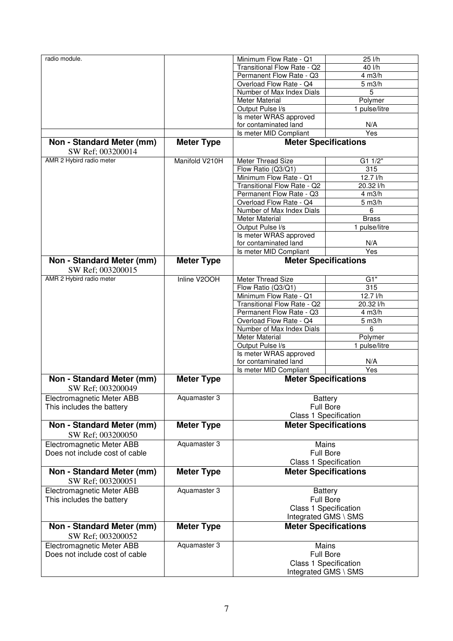| radio module.                  |                   | Minimum Flow Rate - Q1       | 25 l/h                       |
|--------------------------------|-------------------|------------------------------|------------------------------|
|                                |                   |                              |                              |
|                                |                   | Transitional Flow Rate - Q2  | 40 l/h                       |
|                                |                   | Permanent Flow Rate - Q3     | $4 \text{ m3/h}$             |
|                                |                   | Overload Flow Rate - Q4      | $5 \text{ m3/h}$             |
|                                |                   | Number of Max Index Dials    | 5                            |
|                                |                   | <b>Meter Material</b>        |                              |
|                                |                   |                              | Polymer                      |
|                                |                   | Output Pulse I/s             | 1 pulse/litre                |
|                                |                   | Is meter WRAS approved       |                              |
|                                |                   | for contaminated land        | N/A                          |
|                                |                   | Is meter MID Compliant       | Yes                          |
| Non - Standard Meter (mm)      | <b>Meter Type</b> | <b>Meter Specifications</b>  |                              |
|                                |                   |                              |                              |
| SW Ref; 003200014              |                   |                              |                              |
| AMR 2 Hybird radio meter       | Manifold V210H    | Meter Thread Size            | G1 1/2"                      |
|                                |                   | Flow Ratio (Q3/Q1)           | 315                          |
|                                |                   | Minimum Flow Rate - Q1       |                              |
|                                |                   |                              | 12.7 l/h                     |
|                                |                   | Transitional Flow Rate - Q2  | 20.32 l/h                    |
|                                |                   | Permanent Flow Rate - Q3     | 4 m3/h                       |
|                                |                   | Overload Flow Rate - Q4      | $5 \text{ m3/h}$             |
|                                |                   | Number of Max Index Dials    | 6                            |
|                                |                   | <b>Meter Material</b>        | <b>Brass</b>                 |
|                                |                   |                              |                              |
|                                |                   | Output Pulse I/s             | 1 pulse/litre                |
|                                |                   | Is meter WRAS approved       |                              |
|                                |                   | for contaminated land        | N/A                          |
|                                |                   | Is meter MID Compliant       | Yes                          |
| Non - Standard Meter (mm)      | <b>Meter Type</b> | <b>Meter Specifications</b>  |                              |
|                                |                   |                              |                              |
| SW Ref; 003200015              |                   |                              |                              |
| AMR 2 Hybird radio meter       | Inline V2OOH      | Meter Thread Size            | G1"                          |
|                                |                   | Flow Ratio (Q3/Q1)           | 315                          |
|                                |                   |                              | 12.7 l/h                     |
|                                |                   | Minimum Flow Rate - Q1       |                              |
|                                |                   | Transitional Flow Rate - Q2  | 20.32 l/h                    |
|                                |                   | Permanent Flow Rate - Q3     | 4 m3/h                       |
|                                |                   | Overload Flow Rate - Q4      | 5 m3/h                       |
|                                |                   | Number of Max Index Dials    | 6                            |
|                                |                   | <b>Meter Material</b>        |                              |
|                                |                   |                              | Polymer                      |
|                                |                   | Output Pulse I/s             | 1 pulse/litre                |
|                                |                   | Is meter WRAS approved       |                              |
|                                |                   | for contaminated land        | N/A                          |
|                                |                   | Is meter MID Compliant       | Yes                          |
| Non - Standard Meter (mm)      | <b>Meter Type</b> | <b>Meter Specifications</b>  |                              |
|                                |                   |                              |                              |
| SW Ref; 003200049              |                   |                              |                              |
| Electromagnetic Meter ABB      | Aquamaster 3      |                              | Battery                      |
| This includes the battery      |                   | <b>Full Bore</b>             |                              |
|                                |                   |                              |                              |
|                                |                   |                              | <b>Class 1 Specification</b> |
| Non - Standard Meter (mm)      | <b>Meter Type</b> |                              | <b>Meter Specifications</b>  |
| SW Ref; 003200050              |                   |                              |                              |
|                                |                   |                              |                              |
| Electromagnetic Meter ABB      | Aquamaster 3      |                              | Mains                        |
| Does not include cost of cable |                   |                              | <b>Full Bore</b>             |
|                                |                   |                              | <b>Class 1 Specification</b> |
| Non - Standard Meter (mm)      | <b>Meter Type</b> |                              | <b>Meter Specifications</b>  |
|                                |                   |                              |                              |
| SW Ref; 003200051              |                   |                              |                              |
| Electromagnetic Meter ABB      | Aquamaster 3      |                              | <b>Battery</b>               |
| This includes the battery      |                   | <b>Full Bore</b>             |                              |
|                                |                   | <b>Class 1 Specification</b> |                              |
|                                |                   |                              |                              |
|                                |                   |                              | Integrated GMS \ SMS         |
| Non - Standard Meter (mm)      | <b>Meter Type</b> |                              | <b>Meter Specifications</b>  |
|                                |                   |                              |                              |
| SW Ref; 003200052              |                   |                              |                              |
| Electromagnetic Meter ABB      | Aquamaster 3      | Mains                        |                              |
| Does not include cost of cable |                   | <b>Full Bore</b>             |                              |
|                                |                   |                              | <b>Class 1 Specification</b> |
|                                |                   |                              | Integrated GMS \ SMS         |
|                                |                   |                              |                              |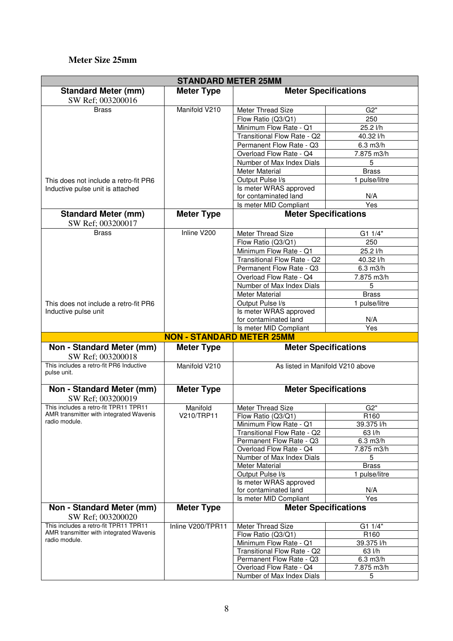#### **Meter Size 25mm**

| <b>STANDARD METER 25MM</b>                                                       |                                  |                                                       |                             |  |
|----------------------------------------------------------------------------------|----------------------------------|-------------------------------------------------------|-----------------------------|--|
| <b>Standard Meter (mm)</b>                                                       | <b>Meter Type</b>                | <b>Meter Specifications</b>                           |                             |  |
| SW Ref; 003200016                                                                |                                  |                                                       |                             |  |
| <b>Brass</b>                                                                     | Manifold V210                    | Meter Thread Size                                     | G2"                         |  |
|                                                                                  |                                  | Flow Ratio (Q3/Q1)                                    | 250                         |  |
|                                                                                  |                                  | Minimum Flow Rate - Q1                                | 25.2 l/h                    |  |
|                                                                                  |                                  | Transitional Flow Rate - Q2                           | 40.32 l/h                   |  |
|                                                                                  |                                  | Permanent Flow Rate - Q3                              | $6.3$ m $3/h$               |  |
|                                                                                  |                                  | Overload Flow Rate - Q4                               | 7.875 m3/h                  |  |
|                                                                                  |                                  | Number of Max Index Dials                             | 5                           |  |
|                                                                                  |                                  | <b>Meter Material</b>                                 | <b>Brass</b>                |  |
| This does not include a retro-fit PR6                                            |                                  | Output Pulse I/s                                      | 1 pulse/litre               |  |
| Inductive pulse unit is attached                                                 |                                  | Is meter WRAS approved                                |                             |  |
|                                                                                  |                                  | for contaminated land<br>Is meter MID Compliant       | N/A<br>Yes                  |  |
|                                                                                  |                                  |                                                       | <b>Meter Specifications</b> |  |
| <b>Standard Meter (mm)</b><br>SW Ref; 003200017                                  | <b>Meter Type</b>                |                                                       |                             |  |
| <b>Brass</b>                                                                     | Inline V200                      | Meter Thread Size                                     | G1 1/4"                     |  |
|                                                                                  |                                  | Flow Ratio (Q3/Q1)                                    | 250                         |  |
|                                                                                  |                                  | Minimum Flow Rate - Q1                                | 25.2 l/h                    |  |
|                                                                                  |                                  | Transitional Flow Rate - Q2                           | 40.32 l/h                   |  |
|                                                                                  |                                  | Permanent Flow Rate - Q3                              | $6.3$ m $3/h$               |  |
|                                                                                  |                                  | Overload Flow Rate - Q4                               | 7.875 m3/h                  |  |
|                                                                                  |                                  | Number of Max Index Dials                             | 5                           |  |
|                                                                                  |                                  | <b>Meter Material</b>                                 | <b>Brass</b>                |  |
| This does not include a retro-fit PR6                                            |                                  | Output Pulse I/s                                      | 1 pulse/litre               |  |
| Inductive pulse unit                                                             |                                  | Is meter WRAS approved                                |                             |  |
|                                                                                  |                                  | for contaminated land<br>Is meter MID Compliant       | N/A<br>Yes                  |  |
|                                                                                  |                                  |                                                       |                             |  |
|                                                                                  |                                  |                                                       |                             |  |
|                                                                                  | <b>NON - STANDARD METER 25MM</b> |                                                       |                             |  |
| Non - Standard Meter (mm)<br>SW Ref; 003200018                                   | <b>Meter Type</b>                |                                                       | <b>Meter Specifications</b> |  |
| This includes a retro-fit PR6 Inductive<br>pulse unit.                           | Manifold V210                    | As listed in Manifold V210 above                      |                             |  |
|                                                                                  |                                  |                                                       |                             |  |
| Non - Standard Meter (mm)                                                        | <b>Meter Type</b>                | <b>Meter Specifications</b>                           |                             |  |
| SW Ref; 003200019<br>This includes a retro-fit TPR11 TPR11                       | Manifold                         |                                                       | G2"                         |  |
| AMR transmitter with integrated Wavenis                                          | V210/TRP11                       | Meter Thread Size                                     | R <sub>160</sub>            |  |
| radio module.                                                                    |                                  | Flow Ratio (Q3/Q1)<br>Minimum Flow Rate - Q1          | 39.375 l/h                  |  |
|                                                                                  |                                  | Transitional Flow Rate - Q2                           | 63 l/h                      |  |
|                                                                                  |                                  | Permanent Flow Rate - Q3                              | $6.3$ m $3/h$               |  |
|                                                                                  |                                  | Overload Flow Rate - Q4                               | 7.875 m3/h                  |  |
|                                                                                  |                                  | Number of Max Index Dials                             | 5                           |  |
|                                                                                  |                                  | <b>Meter Material</b>                                 | <b>Brass</b>                |  |
|                                                                                  |                                  | Output Pulse I/s                                      | 1 pulse/litre               |  |
|                                                                                  |                                  | Is meter WRAS approved                                |                             |  |
|                                                                                  |                                  | for contaminated land                                 | N/A<br>Yes                  |  |
| Non - Standard Meter (mm)                                                        | <b>Meter Type</b>                | Is meter MID Compliant<br><b>Meter Specifications</b> |                             |  |
| SW Ref; 003200020                                                                |                                  |                                                       |                             |  |
| This includes a retro-fit TPR11 TPR11<br>AMR transmitter with integrated Wavenis | Inline V200/TPR11                | Meter Thread Size                                     | G1 1/4"                     |  |
| radio module.                                                                    |                                  | Flow Ratio (Q3/Q1)                                    | R <sub>160</sub>            |  |
|                                                                                  |                                  | Minimum Flow Rate - Q1<br>Transitional Flow Rate - Q2 | 39.375 l/h<br>63 l/h        |  |
|                                                                                  |                                  | Permanent Flow Rate - Q3                              | $6.3$ m $3/h$               |  |
|                                                                                  |                                  | Overload Flow Rate - Q4<br>Number of Max Index Dials  | 7.875 m3/h                  |  |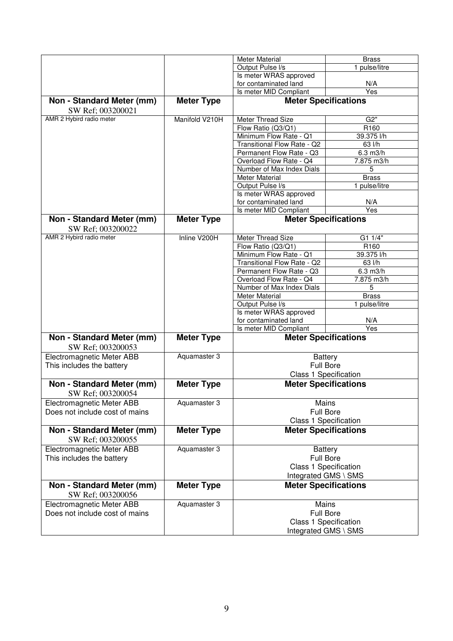|                                                |                   | <b>Meter Material</b>       | <b>Brass</b>                 |
|------------------------------------------------|-------------------|-----------------------------|------------------------------|
|                                                |                   | Output Pulse I/s            | 1 pulse/litre                |
|                                                |                   | Is meter WRAS approved      |                              |
|                                                |                   | for contaminated land       | N/A                          |
|                                                |                   | Is meter MID Compliant      | Yes                          |
| Non - Standard Meter (mm)<br>SW Ref; 003200021 | <b>Meter Type</b> |                             | <b>Meter Specifications</b>  |
| AMR 2 Hybird radio meter                       | Manifold V210H    | Meter Thread Size           | G2"                          |
|                                                |                   | Flow Ratio (Q3/Q1)          | R <sub>160</sub>             |
|                                                |                   | Minimum Flow Rate - Q1      | 39.375 l/h                   |
|                                                |                   | Transitional Flow Rate - Q2 | 63 l/h                       |
|                                                |                   | Permanent Flow Rate - Q3    | $6.3$ m $3/h$                |
|                                                |                   | Overload Flow Rate - Q4     | 7.875 m3/h                   |
|                                                |                   | Number of Max Index Dials   | 5                            |
|                                                |                   | <b>Meter Material</b>       | <b>Brass</b>                 |
|                                                |                   | Output Pulse I/s            | 1 pulse/litre                |
|                                                |                   | Is meter WRAS approved      |                              |
|                                                |                   | for contaminated land       | N/A                          |
|                                                |                   | Is meter MID Compliant      | $\overline{Yes}$             |
| Non - Standard Meter (mm)<br>SW Ref; 003200022 | <b>Meter Type</b> |                             | <b>Meter Specifications</b>  |
| AMR 2 Hybird radio meter                       | Inline V200H      | <b>Meter Thread Size</b>    | G1 1/4"                      |
|                                                |                   | Flow Ratio (Q3/Q1)          | R <sub>160</sub>             |
|                                                |                   | Minimum Flow Rate - Q1      | 39.375 l/h                   |
|                                                |                   | Transitional Flow Rate - Q2 | 63 l/h                       |
|                                                |                   | Permanent Flow Rate - Q3    | $6.3$ m $3/h$                |
|                                                |                   | Overload Flow Rate - Q4     | 7.875 m3/h                   |
|                                                |                   | Number of Max Index Dials   | 5                            |
|                                                |                   | Meter Material              | <b>Brass</b>                 |
|                                                |                   | Output Pulse I/s            | 1 pulse/litre                |
|                                                |                   | Is meter WRAS approved      |                              |
|                                                |                   | for contaminated land       | N/A                          |
|                                                |                   | Is meter MID Compliant      | $\overline{Yes}$             |
| Non - Standard Meter (mm)<br>SW Ref; 003200053 | <b>Meter Type</b> |                             | <b>Meter Specifications</b>  |
| Electromagnetic Meter ABB                      | Aquamaster 3      |                             | <b>Battery</b>               |
| This includes the battery                      |                   |                             | <b>Full Bore</b>             |
|                                                |                   |                             | Class 1 Specification        |
| Non - Standard Meter (mm)                      | <b>Meter Type</b> |                             | <b>Meter Specifications</b>  |
| SW Ref; 003200054                              |                   |                             |                              |
| Electromagnetic Meter ABB                      | Aquamaster 3      |                             | Mains                        |
| Does not include cost of mains                 |                   |                             | <b>Full Bore</b>             |
|                                                |                   |                             | Class 1 Specification        |
| Non - Standard Meter (mm)<br>SW Ref; 003200055 | <b>Meter Type</b> |                             | <b>Meter Specifications</b>  |
| Electromagnetic Meter ABB                      | Aquamaster 3      |                             | <b>Battery</b>               |
| This includes the battery                      |                   |                             | <b>Full Bore</b>             |
|                                                |                   |                             | <b>Class 1 Specification</b> |
|                                                |                   |                             | Integrated GMS \ SMS         |
| Non - Standard Meter (mm)                      | <b>Meter Type</b> |                             | <b>Meter Specifications</b>  |
| SW Ref; 003200056                              |                   |                             |                              |
| Electromagnetic Meter ABB                      | Aquamaster 3      |                             | Mains                        |
| Does not include cost of mains                 |                   |                             | <b>Full Bore</b>             |
|                                                |                   |                             | Class 1 Specification        |
|                                                |                   |                             | Integrated GMS \ SMS         |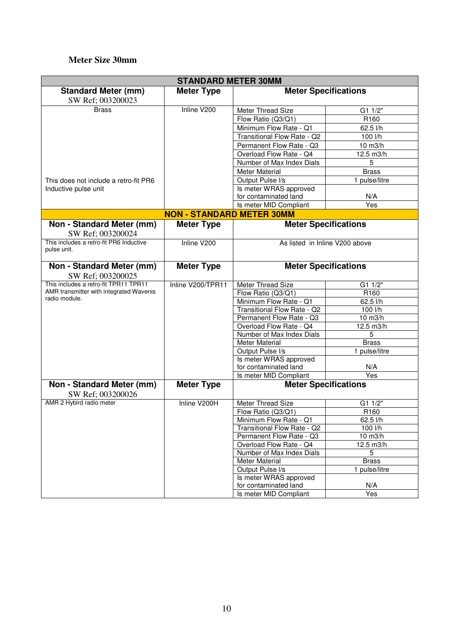# **Meter Size 30mm**

| <b>STANDARD METER 30MM</b>                             |                                  |                             |                                |  |
|--------------------------------------------------------|----------------------------------|-----------------------------|--------------------------------|--|
| <b>Standard Meter (mm)</b>                             | <b>Meter Type</b>                | <b>Meter Specifications</b> |                                |  |
| SW Ref; 003200023                                      |                                  |                             |                                |  |
| <b>Brass</b>                                           | Inline V200                      | Meter Thread Size           | G1 1/2"                        |  |
|                                                        |                                  | Flow Ratio (Q3/Q1)          | R <sub>160</sub>               |  |
|                                                        |                                  | Minimum Flow Rate - Q1      | 62.5 l/h                       |  |
|                                                        |                                  | Transitional Flow Rate - Q2 | 100 l/h                        |  |
|                                                        |                                  | Permanent Flow Rate - Q3    | $10 \text{ m}$ 3/h             |  |
|                                                        |                                  | Overload Flow Rate - Q4     | 12.5 m3/h                      |  |
|                                                        |                                  | Number of Max Index Dials   | 5                              |  |
|                                                        |                                  | Meter Material              | <b>Brass</b>                   |  |
| This does not include a retro-fit PR6                  |                                  | Output Pulse I/s            | 1 pulse/litre                  |  |
| Inductive pulse unit                                   |                                  | Is meter WRAS approved      |                                |  |
|                                                        |                                  | for contaminated land       | N/A                            |  |
|                                                        |                                  | Is meter MID Compliant      | Yes                            |  |
|                                                        | <b>NON - STANDARD METER 30MM</b> |                             |                                |  |
| Non - Standard Meter (mm)                              |                                  |                             |                                |  |
|                                                        | <b>Meter Type</b>                | <b>Meter Specifications</b> |                                |  |
| SW Ref; 003200024                                      |                                  |                             |                                |  |
| This includes a retro-fit PR6 Inductive<br>pulse unit. | Inline V200                      |                             | As listed in Inline V200 above |  |
|                                                        |                                  |                             |                                |  |
| Non - Standard Meter (mm)                              | <b>Meter Type</b>                |                             | <b>Meter Specifications</b>    |  |
| SW Ref; 003200025                                      |                                  |                             |                                |  |
| This includes a retro-fit TPR11 TPR11                  | Inline V200/TPR11                | Meter Thread Size           | G1 1/2"                        |  |
| AMR transmitter with integrated Wavenis                |                                  | Flow Ratio (Q3/Q1)          | R160                           |  |
| radio module.                                          |                                  | Minimum Flow Rate - Q1      | 62.5 l/h                       |  |
|                                                        |                                  | Transitional Flow Rate - Q2 | 100 l/h                        |  |
|                                                        |                                  | Permanent Flow Rate - Q3    | $10 \text{ m}$ 3/h             |  |
|                                                        |                                  | Overload Flow Rate - Q4     | 12.5 m3/h                      |  |
|                                                        |                                  | Number of Max Index Dials   | 5                              |  |
|                                                        |                                  | <b>Meter Material</b>       | <b>Brass</b>                   |  |
|                                                        |                                  | Output Pulse I/s            | 1 pulse/litre                  |  |
|                                                        |                                  | Is meter WRAS approved      |                                |  |
|                                                        |                                  | for contaminated land       | N/A                            |  |
|                                                        |                                  | Is meter MID Compliant      | $\overline{Yes}$               |  |
| Non - Standard Meter (mm)                              | <b>Meter Type</b>                | <b>Meter Specifications</b> |                                |  |
| SW Ref; 003200026                                      |                                  |                             |                                |  |
| AMR 2 Hybird radio meter                               | Inline V200H                     | Meter Thread Size           | G1 1/2"                        |  |
|                                                        |                                  | Flow Ratio (Q3/Q1)          | R <sub>160</sub>               |  |
|                                                        |                                  | Minimum Flow Rate - Q1      | $62.5$ $1/h$                   |  |
|                                                        |                                  | Transitional Flow Rate - Q2 | 100 l/h                        |  |
|                                                        |                                  | Permanent Flow Rate - Q3    | 10 m3/h                        |  |
|                                                        |                                  | Overload Flow Rate - Q4     | 12.5 m3/h                      |  |
|                                                        |                                  | Number of Max Index Dials   | 5                              |  |
|                                                        |                                  | Meter Material              | <b>Brass</b>                   |  |
|                                                        |                                  | Output Pulse I/s            | 1 pulse/litre                  |  |
|                                                        |                                  | Is meter WRAS approved      |                                |  |
|                                                        |                                  | for contaminated land       | N/A                            |  |
|                                                        |                                  | Is meter MID Compliant      | Yes                            |  |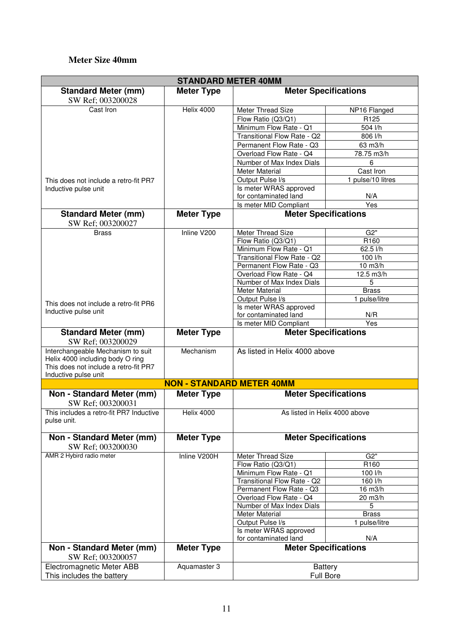#### **Meter Size 40mm**

| <b>STANDARD METER 40MM</b>                                   |                                  |                                                      |                   |  |
|--------------------------------------------------------------|----------------------------------|------------------------------------------------------|-------------------|--|
| <b>Standard Meter (mm)</b>                                   | <b>Meter Type</b>                | <b>Meter Specifications</b>                          |                   |  |
| SW Ref; 003200028                                            |                                  |                                                      |                   |  |
| Cast Iron                                                    | <b>Helix 4000</b>                | Meter Thread Size                                    | NP16 Flanged      |  |
|                                                              |                                  | Flow Ratio (Q3/Q1)                                   | R125              |  |
|                                                              |                                  | Minimum Flow Rate - Q1                               | 504 l/h           |  |
|                                                              |                                  | Transitional Flow Rate - Q2                          | 806 l/h           |  |
|                                                              |                                  | Permanent Flow Rate - Q3                             | 63 m3/h           |  |
|                                                              |                                  | Overload Flow Rate - Q4                              | 78.75 m3/h        |  |
|                                                              |                                  | Number of Max Index Dials                            | 6                 |  |
|                                                              |                                  | <b>Meter Material</b>                                | Cast Iron         |  |
| This does not include a retro-fit PR7                        |                                  | Output Pulse I/s                                     | 1 pulse/10 litres |  |
| Inductive pulse unit                                         |                                  | Is meter WRAS approved                               |                   |  |
|                                                              |                                  | for contaminated land                                | N/A               |  |
|                                                              |                                  | Is meter MID Compliant                               | Yes               |  |
| <b>Standard Meter (mm)</b>                                   | <b>Meter Type</b>                | <b>Meter Specifications</b>                          |                   |  |
| SW Ref; 003200027                                            |                                  |                                                      |                   |  |
| <b>Brass</b>                                                 | Inline V200                      | Meter Thread Size                                    | G2"               |  |
|                                                              |                                  | Flow Ratio (Q3/Q1)                                   | R <sub>160</sub>  |  |
|                                                              |                                  | Minimum Flow Rate - Q1                               | 62.5 l/h          |  |
|                                                              |                                  | Transitional Flow Rate - Q2                          | 100 l/h           |  |
|                                                              |                                  | Permanent Flow Rate - Q3                             | 10 m3/h           |  |
|                                                              |                                  | Overload Flow Rate - Q4                              | 12.5 m3/h         |  |
|                                                              |                                  | Number of Max Index Dials                            | 5                 |  |
|                                                              |                                  | <b>Meter Material</b>                                | <b>Brass</b>      |  |
| This does not include a retro-fit PR6                        |                                  | Output Pulse I/s                                     | 1 pulse/litre     |  |
| Inductive pulse unit                                         |                                  | Is meter WRAS approved                               |                   |  |
|                                                              |                                  | for contaminated land                                | N/R               |  |
|                                                              |                                  | Is meter MID Compliant                               | $\overline{Yes}$  |  |
| <b>Standard Meter (mm)</b><br>SW Ref; 003200029              | <b>Meter Type</b>                | <b>Meter Specifications</b>                          |                   |  |
|                                                              |                                  |                                                      |                   |  |
| Interchangeable Mechanism to suit                            | Mechanism                        | As listed in Helix 4000 above                        |                   |  |
| Helix 4000 including body O ring                             |                                  |                                                      |                   |  |
| This does not include a retro-fit PR7                        |                                  |                                                      |                   |  |
| Inductive pulse unit                                         |                                  |                                                      |                   |  |
|                                                              | <b>NON - STANDARD METER 40MM</b> |                                                      |                   |  |
| Non - Standard Meter (mm)                                    | <b>Meter Type</b>                | <b>Meter Specifications</b>                          |                   |  |
| SW Ref; 003200031<br>This includes a retro-fit PR7 Inductive | <b>Helix 4000</b>                | As listed in Helix 4000 above                        |                   |  |
| pulse unit.                                                  |                                  |                                                      |                   |  |
| Non - Standard Meter (mm)                                    | <b>Meter Type</b>                | <b>Meter Specifications</b>                          |                   |  |
| SW Ref; 003200030                                            |                                  |                                                      |                   |  |
| AMR 2 Hybird radio meter                                     | Inline V200H                     | Meter Thread Size                                    | G2"               |  |
|                                                              |                                  | Flow Ratio (Q3/Q1)                                   | R <sub>160</sub>  |  |
|                                                              |                                  | Minimum Flow Rate - Q1                               | 100 l/h           |  |
|                                                              |                                  | Transitional Flow Rate - Q2                          | 160 l/h           |  |
|                                                              |                                  | Permanent Flow Rate - Q3                             | 16 m3/h           |  |
|                                                              |                                  | Overload Flow Rate - Q4                              | 20 m3/h           |  |
|                                                              |                                  | Number of Max Index Dials                            | 5                 |  |
|                                                              |                                  | <b>Meter Material</b>                                | <b>Brass</b>      |  |
|                                                              |                                  | Output Pulse I/s                                     | 1 pulse/litre     |  |
|                                                              |                                  | Is meter WRAS approved                               |                   |  |
| Non - Standard Meter (mm)                                    | <b>Meter Type</b>                | for contaminated land<br><b>Meter Specifications</b> | N/A               |  |
| SW Ref; 003200057<br>Electromagnetic Meter ABB               | Aquamaster 3                     | <b>Battery</b>                                       |                   |  |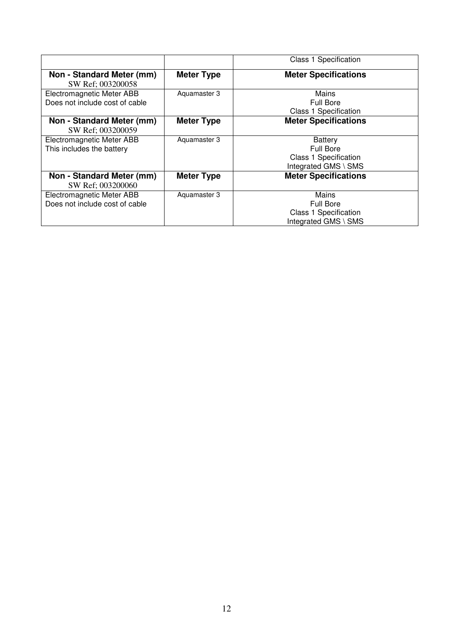|                                                             |                   | <b>Class 1 Specification</b>                                                      |
|-------------------------------------------------------------|-------------------|-----------------------------------------------------------------------------------|
| Non - Standard Meter (mm)<br>SW Ref; 003200058              | <b>Meter Type</b> | <b>Meter Specifications</b>                                                       |
| Electromagnetic Meter ABB<br>Does not include cost of cable | Aquamaster 3      | Mains<br>Full Bore<br>Class 1 Specification                                       |
| Non - Standard Meter (mm)<br>SW Ref; 003200059              | <b>Meter Type</b> | <b>Meter Specifications</b>                                                       |
| Electromagnetic Meter ABB<br>This includes the battery      | Aquamaster 3      | <b>Battery</b><br>Full Bore<br>Class 1 Specification<br>Integrated GMS \ SMS      |
| Non - Standard Meter (mm)<br>SW Ref; 003200060              | <b>Meter Type</b> | <b>Meter Specifications</b>                                                       |
| Electromagnetic Meter ABB<br>Does not include cost of cable | Aquamaster 3      | Mains<br><b>Full Bore</b><br><b>Class 1 Specification</b><br>Integrated GMS \ SMS |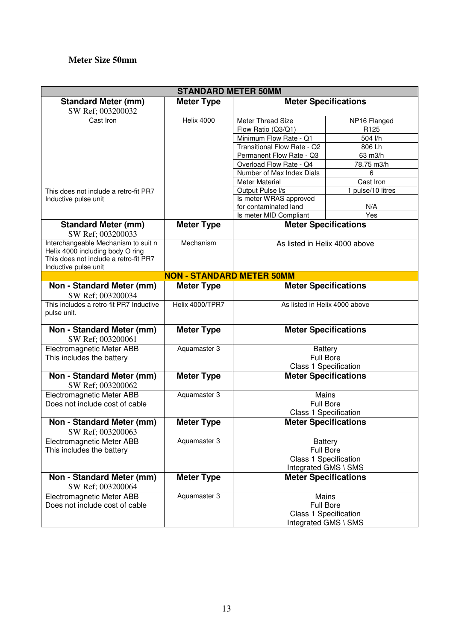## **Meter Size 50mm**

| <b>STANDARD METER 50MM</b>                                                |                                  |                               |                               |  |
|---------------------------------------------------------------------------|----------------------------------|-------------------------------|-------------------------------|--|
| <b>Standard Meter (mm)</b>                                                | <b>Meter Type</b>                | <b>Meter Specifications</b>   |                               |  |
| SW Ref; 003200032                                                         |                                  |                               |                               |  |
| Cast Iron                                                                 | <b>Helix 4000</b>                | Meter Thread Size             | NP16 Flanged                  |  |
|                                                                           |                                  | Flow Ratio (Q3/Q1)            | R125                          |  |
|                                                                           |                                  | Minimum Flow Rate - Q1        | 504 l/h                       |  |
|                                                                           |                                  | Transitional Flow Rate - Q2   | 806 l.h                       |  |
|                                                                           |                                  | Permanent Flow Rate - Q3      | 63 m3/h                       |  |
|                                                                           |                                  | Overload Flow Rate - Q4       | 78.75 m3/h                    |  |
|                                                                           |                                  | Number of Max Index Dials     | 6                             |  |
|                                                                           |                                  | <b>Meter Material</b>         | Cast Iron                     |  |
| This does not include a retro-fit PR7                                     |                                  | Output Pulse I/s              | 1 pulse/10 litres             |  |
| Inductive pulse unit                                                      |                                  | Is meter WRAS approved        |                               |  |
|                                                                           |                                  | for contaminated land         | N/A                           |  |
|                                                                           |                                  | Is meter MID Compliant        | Yes                           |  |
| <b>Standard Meter (mm)</b>                                                | <b>Meter Type</b>                |                               | <b>Meter Specifications</b>   |  |
| SW Ref; 003200033                                                         |                                  |                               |                               |  |
| Interchangeable Mechanism to suit n                                       | Mechanism                        |                               | As listed in Helix 4000 above |  |
| Helix 4000 including body O ring<br>This does not include a retro-fit PR7 |                                  |                               |                               |  |
| Inductive pulse unit                                                      |                                  |                               |                               |  |
|                                                                           | <b>NON - STANDARD METER 50MM</b> |                               |                               |  |
| Non - Standard Meter (mm)                                                 | <b>Meter Type</b>                |                               | <b>Meter Specifications</b>   |  |
| SW Ref; 003200034                                                         |                                  |                               |                               |  |
| This includes a retro-fit PR7 Inductive                                   | Helix 4000/TPR7                  | As listed in Helix 4000 above |                               |  |
| pulse unit.                                                               |                                  |                               |                               |  |
|                                                                           |                                  |                               |                               |  |
| Non - Standard Meter (mm)                                                 | <b>Meter Type</b>                | <b>Meter Specifications</b>   |                               |  |
| SW Ref; 003200061                                                         |                                  |                               |                               |  |
| Electromagnetic Meter ABB                                                 | Aquamaster 3                     |                               | <b>Battery</b>                |  |
| This includes the battery                                                 |                                  |                               | <b>Full Bore</b>              |  |
|                                                                           |                                  |                               | Class 1 Specification         |  |
| Non - Standard Meter (mm)                                                 | <b>Meter Type</b>                |                               |                               |  |
|                                                                           |                                  | <b>Meter Specifications</b>   |                               |  |
| SW Ref; 003200062                                                         |                                  |                               |                               |  |
| Electromagnetic Meter ABB                                                 | Aquamaster 3                     |                               | Mains                         |  |
| Does not include cost of cable                                            |                                  |                               | <b>Full Bore</b>              |  |
|                                                                           |                                  |                               | Class 1 Specification         |  |
| Non - Standard Meter (mm)<br>SW Ref; 003200063                            | <b>Meter Type</b>                |                               | <b>Meter Specifications</b>   |  |
| Electromagnetic Meter ABB                                                 | Aquamaster 3                     |                               | <b>Battery</b>                |  |
| This includes the battery                                                 |                                  |                               | Full Bore                     |  |
|                                                                           |                                  |                               | Class 1 Specification         |  |
|                                                                           |                                  |                               | Integrated GMS \ SMS          |  |
| Non - Standard Meter (mm)                                                 | <b>Meter Type</b>                |                               | <b>Meter Specifications</b>   |  |
| SW Ref; 003200064                                                         |                                  |                               |                               |  |
| Electromagnetic Meter ABB                                                 | Aquamaster 3                     |                               | Mains                         |  |
| Does not include cost of cable                                            |                                  |                               | <b>Full Bore</b>              |  |
|                                                                           |                                  |                               | <b>Class 1 Specification</b>  |  |
|                                                                           |                                  |                               | Integrated GMS \ SMS          |  |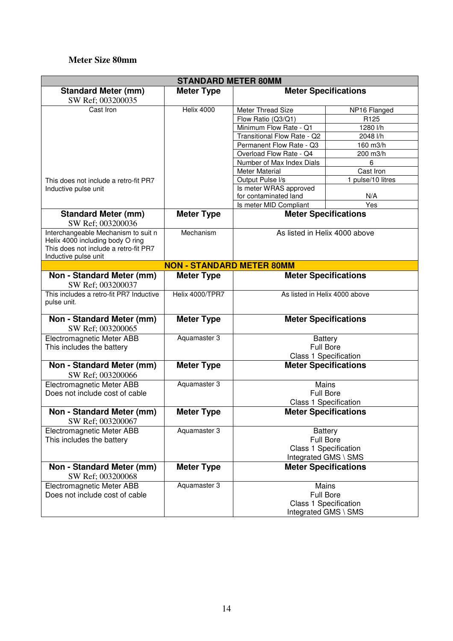#### **Meter Size 80mm**

|                                                                                                                                          | <b>STANDARD METER 80MM</b>       |                               |                                    |
|------------------------------------------------------------------------------------------------------------------------------------------|----------------------------------|-------------------------------|------------------------------------|
| <b>Standard Meter (mm)</b><br>SW Ref; 003200035                                                                                          | <b>Meter Type</b>                |                               | <b>Meter Specifications</b>        |
| Cast Iron                                                                                                                                | Helix 4000                       | Meter Thread Size             | NP16 Flanged                       |
|                                                                                                                                          |                                  | Flow Ratio (Q3/Q1)            | R125                               |
|                                                                                                                                          |                                  | Minimum Flow Rate - Q1        | 1280 l/h                           |
|                                                                                                                                          |                                  | Transitional Flow Rate - Q2   | 2048 l/h                           |
|                                                                                                                                          |                                  | Permanent Flow Rate - Q3      | 160 m3/h                           |
|                                                                                                                                          |                                  | Overload Flow Rate - Q4       | 200 m3/h                           |
|                                                                                                                                          |                                  | Number of Max Index Dials     | 6                                  |
|                                                                                                                                          |                                  | <b>Meter Material</b>         | Cast Iron                          |
| This does not include a retro-fit PR7                                                                                                    |                                  | Output Pulse I/s              | 1 pulse/10 litres                  |
| Inductive pulse unit                                                                                                                     |                                  | Is meter WRAS approved        |                                    |
|                                                                                                                                          |                                  | for contaminated land         | N/A                                |
|                                                                                                                                          |                                  | Is meter MID Compliant        | Yes                                |
| <b>Standard Meter (mm)</b><br>SW Ref; 003200036                                                                                          | <b>Meter Type</b>                |                               | <b>Meter Specifications</b>        |
| Interchangeable Mechanism to suit n<br>Helix 4000 including body O ring<br>This does not include a retro-fit PR7<br>Inductive pulse unit | Mechanism                        |                               | As listed in Helix 4000 above      |
|                                                                                                                                          | <b>NON - STANDARD METER 80MM</b> |                               |                                    |
| Non - Standard Meter (mm)<br>SW Ref; 003200037                                                                                           | <b>Meter Type</b>                |                               | <b>Meter Specifications</b>        |
| This includes a retro-fit PR7 Inductive<br>pulse unit.                                                                                   | Helix 4000/TPR7                  | As listed in Helix 4000 above |                                    |
| Non - Standard Meter (mm)<br>SW Ref; 003200065                                                                                           | <b>Meter Type</b>                |                               | <b>Meter Specifications</b>        |
| Electromagnetic Meter ABB<br>This includes the battery                                                                                   | Aquamaster 3                     |                               | <b>Battery</b><br><b>Full Bore</b> |
|                                                                                                                                          |                                  |                               | Class 1 Specification              |
| Non - Standard Meter (mm)<br>SW Ref; 003200066                                                                                           | <b>Meter Type</b>                |                               | <b>Meter Specifications</b>        |
| Electromagnetic Meter ABB                                                                                                                | Aquamaster 3                     |                               | Mains                              |
| Does not include cost of cable                                                                                                           |                                  |                               | <b>Full Bore</b>                   |
|                                                                                                                                          |                                  |                               | <b>Class 1 Specification</b>       |
| Non - Standard Meter (mm)<br>SW Ref; 003200067                                                                                           | <b>Meter Type</b>                |                               | <b>Meter Specifications</b>        |
| Electromagnetic Meter ABB                                                                                                                | Aquamaster 3                     |                               | <b>Battery</b>                     |
| This includes the battery                                                                                                                |                                  |                               | <b>Full Bore</b>                   |
|                                                                                                                                          |                                  |                               | Class 1 Specification              |
|                                                                                                                                          |                                  |                               | Integrated GMS \ SMS               |
| Non - Standard Meter (mm)<br>SW Ref; 003200068                                                                                           | <b>Meter Type</b>                |                               | <b>Meter Specifications</b>        |
| <b>Electromagnetic Meter ABB</b>                                                                                                         | Aquamaster 3                     |                               | Mains                              |
| Does not include cost of cable                                                                                                           |                                  |                               | <b>Full Bore</b>                   |
|                                                                                                                                          |                                  |                               | <b>Class 1 Specification</b>       |
|                                                                                                                                          |                                  | Integrated GMS \ SMS          |                                    |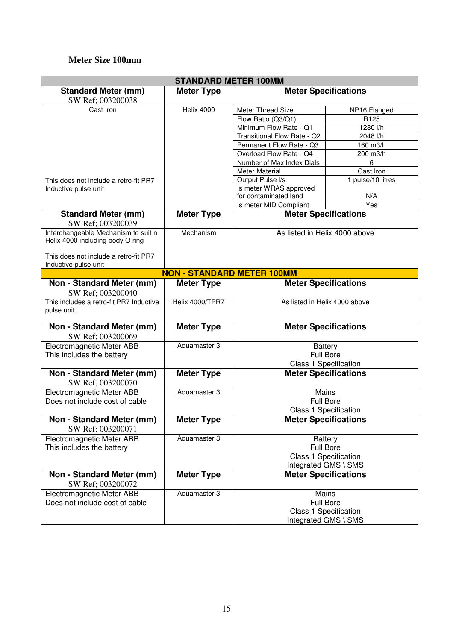#### **Meter Size 100mm**

|                                                                         | <b>STANDARD METER 100MM</b>       |                                       |                                                                                     |
|-------------------------------------------------------------------------|-----------------------------------|---------------------------------------|-------------------------------------------------------------------------------------|
| <b>Standard Meter (mm)</b><br>SW Ref; 003200038                         | <b>Meter Type</b>                 | <b>Meter Specifications</b>           |                                                                                     |
| Cast Iron                                                               | Helix 4000                        | Meter Thread Size                     | NP16 Flanged                                                                        |
|                                                                         |                                   | Flow Ratio (Q3/Q1)                    | R125                                                                                |
|                                                                         |                                   | Minimum Flow Rate - Q1                | 1280 l/h                                                                            |
|                                                                         |                                   | Transitional Flow Rate - Q2           | 2048 l/h                                                                            |
|                                                                         |                                   | Permanent Flow Rate - Q3              | 160 m3/h                                                                            |
|                                                                         |                                   | Overload Flow Rate - Q4               | 200 m3/h                                                                            |
|                                                                         |                                   | Number of Max Index Dials             | 6                                                                                   |
|                                                                         |                                   | <b>Meter Material</b>                 | Cast Iron                                                                           |
| This does not include a retro-fit PR7                                   |                                   | Output Pulse I/s                      | 1 pulse/10 litres                                                                   |
| Inductive pulse unit                                                    |                                   | Is meter WRAS approved                |                                                                                     |
|                                                                         |                                   | for contaminated land                 | N/A                                                                                 |
|                                                                         |                                   | Is meter MID Compliant                | Yes                                                                                 |
| <b>Standard Meter (mm)</b><br>SW Ref; 003200039                         | <b>Meter Type</b>                 | <b>Meter Specifications</b>           |                                                                                     |
| Interchangeable Mechanism to suit n<br>Helix 4000 including body O ring | Mechanism                         |                                       | As listed in Helix 4000 above                                                       |
| This does not include a retro-fit PR7<br>Inductive pulse unit           |                                   |                                       |                                                                                     |
|                                                                         | <b>NON - STANDARD METER 100MM</b> |                                       |                                                                                     |
| Non - Standard Meter (mm)<br>SW Ref; 003200040                          | <b>Meter Type</b>                 | <b>Meter Specifications</b>           |                                                                                     |
| This includes a retro-fit PR7 Inductive<br>pulse unit.                  | Helix 4000/TPR7                   | As listed in Helix 4000 above         |                                                                                     |
| Non - Standard Meter (mm)<br>SW Ref; 003200069                          | <b>Meter Type</b>                 | <b>Meter Specifications</b>           |                                                                                     |
| Electromagnetic Meter ABB<br>This includes the battery                  | Aquamaster 3                      |                                       | <b>Battery</b><br><b>Full Bore</b><br>Class 1 Specification                         |
| Non - Standard Meter (mm)<br>SW Ref; 003200070                          | <b>Meter Type</b>                 | <b>Meter Specifications</b>           |                                                                                     |
| Electromagnetic Meter ABB<br>Does not include cost of cable             | Aquamaster 3                      | Mains<br><b>Class 1 Specification</b> | <b>Full Bore</b>                                                                    |
| Non - Standard Meter (mm)<br>SW Ref; 003200071                          | <b>Meter Type</b>                 |                                       | <b>Meter Specifications</b>                                                         |
| <b>Electromagnetic Meter ABB</b><br>This includes the battery           | Aquamaster 3                      |                                       | <b>Battery</b><br><b>Full Bore</b><br>Class 1 Specification<br>Integrated GMS \ SMS |
| Non - Standard Meter (mm)<br>SW Ref; 003200072                          | <b>Meter Type</b>                 |                                       | <b>Meter Specifications</b>                                                         |
| Electromagnetic Meter ABB<br>Does not include cost of cable             | Aquamaster 3                      |                                       | Mains<br><b>Full Bore</b><br>Class 1 Specification<br>Integrated GMS \ SMS          |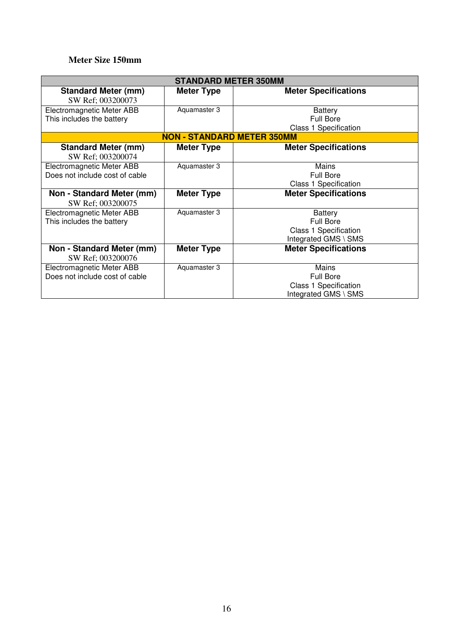#### **Meter Size 150mm**

|                                                             | <b>STANDARD METER 350MM</b>       |                                                                                            |
|-------------------------------------------------------------|-----------------------------------|--------------------------------------------------------------------------------------------|
| <b>Standard Meter (mm)</b><br>SW Ref; 003200073             | <b>Meter Type</b>                 | <b>Meter Specifications</b>                                                                |
| Electromagnetic Meter ABB<br>This includes the battery      | Aquamaster 3                      | <b>Battery</b><br><b>Full Bore</b><br><b>Class 1 Specification</b>                         |
|                                                             | <b>NON - STANDARD METER 350MM</b> |                                                                                            |
| <b>Standard Meter (mm)</b><br>SW Ref; 003200074             | <b>Meter Type</b>                 | <b>Meter Specifications</b>                                                                |
| Electromagnetic Meter ABB<br>Does not include cost of cable | Aquamaster 3                      | Mains<br><b>Full Bore</b><br>Class 1 Specification                                         |
| Non - Standard Meter (mm)<br>SW Ref; 003200075              | <b>Meter Type</b>                 | <b>Meter Specifications</b>                                                                |
| Electromagnetic Meter ABB<br>This includes the battery      | Aquamaster 3                      | <b>Battery</b><br><b>Full Bore</b><br><b>Class 1 Specification</b><br>Integrated GMS \ SMS |
| Non - Standard Meter (mm)<br>SW Ref; 003200076              | <b>Meter Type</b>                 | <b>Meter Specifications</b>                                                                |
| Electromagnetic Meter ABB<br>Does not include cost of cable | Aquamaster 3                      | Mains<br><b>Full Bore</b><br><b>Class 1 Specification</b><br>Integrated GMS \ SMS          |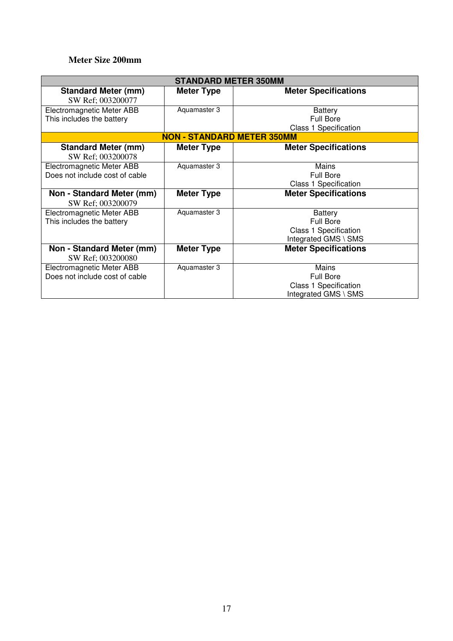#### **Meter Size 200mm**

|                                                             | <b>STANDARD METER 350MM</b>       |                                                                                     |
|-------------------------------------------------------------|-----------------------------------|-------------------------------------------------------------------------------------|
| <b>Standard Meter (mm)</b><br>SW Ref; 003200077             | <b>Meter Type</b>                 | <b>Meter Specifications</b>                                                         |
| Electromagnetic Meter ABB<br>This includes the battery      | Aquamaster 3                      | <b>Battery</b><br><b>Full Bore</b><br><b>Class 1 Specification</b>                  |
|                                                             | <b>NON - STANDARD METER 350MM</b> |                                                                                     |
| <b>Standard Meter (mm)</b><br>SW Ref; 003200078             | <b>Meter Type</b>                 | <b>Meter Specifications</b>                                                         |
| Electromagnetic Meter ABB<br>Does not include cost of cable | Aquamaster 3                      | Mains<br><b>Full Bore</b><br>Class 1 Specification                                  |
| Non - Standard Meter (mm)<br>SW Ref; 003200079              | <b>Meter Type</b>                 | <b>Meter Specifications</b>                                                         |
| Electromagnetic Meter ABB<br>This includes the battery      | Aquamaster 3                      | <b>Battery</b><br><b>Full Bore</b><br>Class 1 Specification<br>Integrated GMS \ SMS |
| Non - Standard Meter (mm)<br>SW Ref; 003200080              | <b>Meter Type</b>                 | <b>Meter Specifications</b>                                                         |
| Electromagnetic Meter ABB<br>Does not include cost of cable | Aquamaster 3                      | Mains<br><b>Full Bore</b><br><b>Class 1 Specification</b><br>Integrated GMS \ SMS   |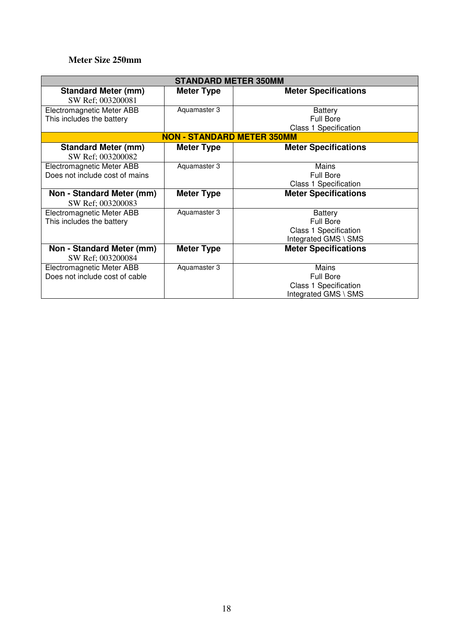#### **Meter Size 250mm**

|                                                             | <b>STANDARD METER 350MM</b>       |                                                                                            |
|-------------------------------------------------------------|-----------------------------------|--------------------------------------------------------------------------------------------|
| <b>Standard Meter (mm)</b><br>SW Ref; 003200081             | <b>Meter Type</b>                 | <b>Meter Specifications</b>                                                                |
| Electromagnetic Meter ABB<br>This includes the battery      | Aquamaster 3                      | <b>Battery</b><br><b>Full Bore</b><br><b>Class 1 Specification</b>                         |
|                                                             | <b>NON - STANDARD METER 350MM</b> |                                                                                            |
| <b>Standard Meter (mm)</b><br>SW Ref; 003200082             | <b>Meter Type</b>                 | <b>Meter Specifications</b>                                                                |
| Electromagnetic Meter ABB<br>Does not include cost of mains | Aquamaster 3                      | Mains<br><b>Full Bore</b><br>Class 1 Specification                                         |
| Non - Standard Meter (mm)<br>SW Ref; 003200083              | <b>Meter Type</b>                 | <b>Meter Specifications</b>                                                                |
| Electromagnetic Meter ABB<br>This includes the battery      | Aquamaster 3                      | <b>Battery</b><br><b>Full Bore</b><br><b>Class 1 Specification</b><br>Integrated GMS \ SMS |
| Non - Standard Meter (mm)<br>SW Ref; 003200084              | <b>Meter Type</b>                 | <b>Meter Specifications</b>                                                                |
| Electromagnetic Meter ABB<br>Does not include cost of cable | Aquamaster 3                      | Mains<br><b>Full Bore</b><br><b>Class 1 Specification</b><br>Integrated GMS \ SMS          |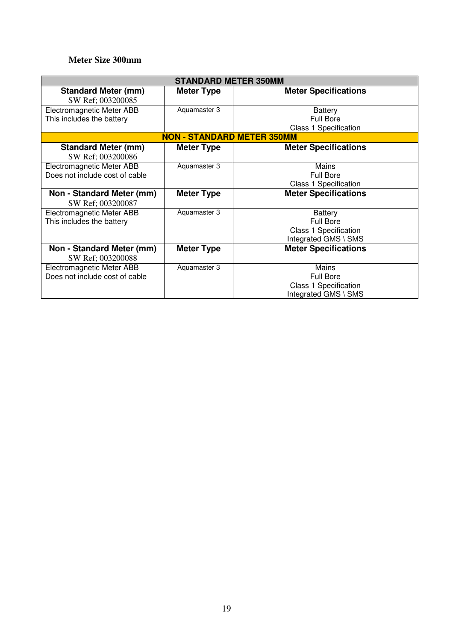#### **Meter Size 300mm**

|                                                             | <b>STANDARD METER 350MM</b>       |                                                                                     |
|-------------------------------------------------------------|-----------------------------------|-------------------------------------------------------------------------------------|
| <b>Standard Meter (mm)</b><br>SW Ref; 003200085             | <b>Meter Type</b>                 | <b>Meter Specifications</b>                                                         |
| Electromagnetic Meter ABB<br>This includes the battery      | Aquamaster 3                      | <b>Battery</b><br><b>Full Bore</b><br><b>Class 1 Specification</b>                  |
|                                                             | <b>NON - STANDARD METER 350MM</b> |                                                                                     |
| <b>Standard Meter (mm)</b><br>SW Ref; 003200086             | <b>Meter Type</b>                 | <b>Meter Specifications</b>                                                         |
| Electromagnetic Meter ABB<br>Does not include cost of cable | Aquamaster 3                      | Mains<br><b>Full Bore</b><br>Class 1 Specification                                  |
| Non - Standard Meter (mm)<br>SW Ref; 003200087              | <b>Meter Type</b>                 | <b>Meter Specifications</b>                                                         |
| Electromagnetic Meter ABB<br>This includes the battery      | Aquamaster 3                      | <b>Battery</b><br><b>Full Bore</b><br>Class 1 Specification<br>Integrated GMS \ SMS |
| Non - Standard Meter (mm)<br>SW Ref; 003200088              | <b>Meter Type</b>                 | <b>Meter Specifications</b>                                                         |
| Electromagnetic Meter ABB<br>Does not include cost of cable | Aquamaster 3                      | Mains<br><b>Full Bore</b><br><b>Class 1 Specification</b><br>Integrated GMS \ SMS   |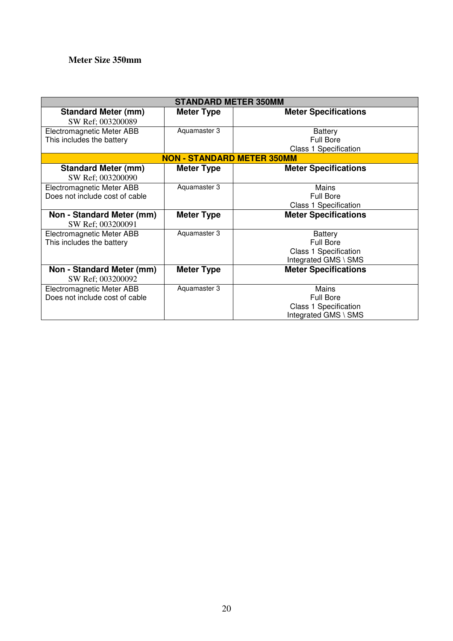#### **Meter Size 350mm**

|                                                             | <b>STANDARD METER 350MM</b>       |                                                                                     |
|-------------------------------------------------------------|-----------------------------------|-------------------------------------------------------------------------------------|
| <b>Standard Meter (mm)</b><br>SW Ref; 003200089             | <b>Meter Type</b>                 | <b>Meter Specifications</b>                                                         |
| Electromagnetic Meter ABB<br>This includes the battery      | Aquamaster 3                      | <b>Battery</b><br><b>Full Bore</b>                                                  |
|                                                             | <b>NON - STANDARD METER 350MM</b> | <b>Class 1 Specification</b>                                                        |
| <b>Standard Meter (mm)</b><br>SW Ref; 003200090             | <b>Meter Type</b>                 | <b>Meter Specifications</b>                                                         |
| Electromagnetic Meter ABB<br>Does not include cost of cable | Aquamaster 3                      | Mains<br><b>Full Bore</b><br><b>Class 1 Specification</b>                           |
| Non - Standard Meter (mm)<br>SW Ref; 003200091              | <b>Meter Type</b>                 | <b>Meter Specifications</b>                                                         |
| Electromagnetic Meter ABB<br>This includes the battery      | Aquamaster 3                      | <b>Battery</b><br>Full Bore<br><b>Class 1 Specification</b><br>Integrated GMS \ SMS |
| Non - Standard Meter (mm)<br>SW Ref; 003200092              | <b>Meter Type</b>                 | <b>Meter Specifications</b>                                                         |
| Electromagnetic Meter ABB<br>Does not include cost of cable | Aquamaster 3                      | <b>Mains</b><br><b>Full Bore</b><br>Class 1 Specification<br>Integrated GMS \ SMS   |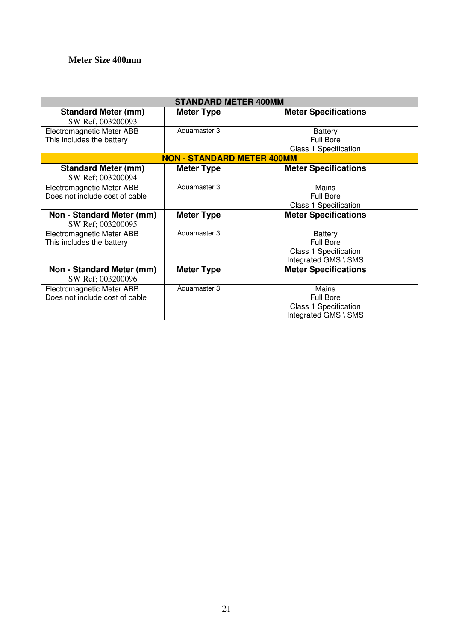#### **Meter Size 400mm**

|                                                             | <b>STANDARD METER 400MM</b>       |                                                                                            |
|-------------------------------------------------------------|-----------------------------------|--------------------------------------------------------------------------------------------|
| <b>Standard Meter (mm)</b><br>SW Ref; 003200093             | <b>Meter Type</b>                 | <b>Meter Specifications</b>                                                                |
| Electromagnetic Meter ABB<br>This includes the battery      | Aquamaster 3                      | <b>Battery</b><br>Full Bore<br><b>Class 1 Specification</b>                                |
|                                                             | <b>NON - STANDARD METER 400MM</b> |                                                                                            |
| <b>Standard Meter (mm)</b><br>SW Ref; 003200094             | <b>Meter Type</b>                 | <b>Meter Specifications</b>                                                                |
| Electromagnetic Meter ABB<br>Does not include cost of cable | Aquamaster 3                      | <b>Mains</b><br><b>Full Bore</b><br><b>Class 1 Specification</b>                           |
| Non - Standard Meter (mm)<br>SW Ref; 003200095              | <b>Meter Type</b>                 | <b>Meter Specifications</b>                                                                |
| Electromagnetic Meter ABB<br>This includes the battery      | Aquamaster 3                      | <b>Battery</b><br><b>Full Bore</b><br><b>Class 1 Specification</b><br>Integrated GMS \ SMS |
| Non - Standard Meter (mm)<br>SW Ref; 003200096              | <b>Meter Type</b>                 | <b>Meter Specifications</b>                                                                |
| Electromagnetic Meter ABB<br>Does not include cost of cable | Aquamaster 3                      | Mains<br>Full Bore<br><b>Class 1 Specification</b><br>Integrated GMS \ SMS                 |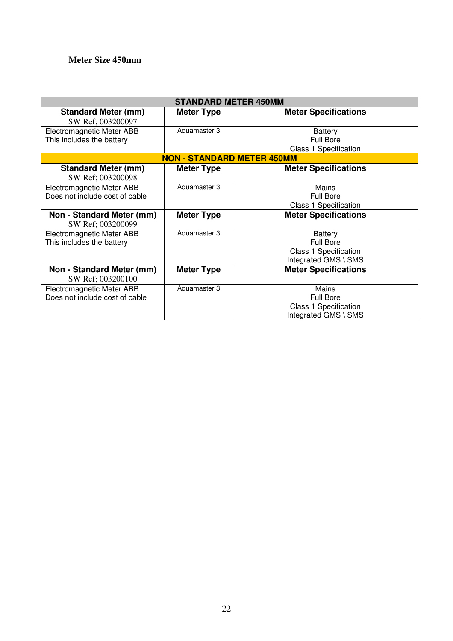## **Meter Size 450mm**

|                                                             | <b>STANDARD METER 450MM</b>       |                                                                                            |
|-------------------------------------------------------------|-----------------------------------|--------------------------------------------------------------------------------------------|
| <b>Standard Meter (mm)</b><br>SW Ref; 003200097             | <b>Meter Type</b>                 | <b>Meter Specifications</b>                                                                |
| Electromagnetic Meter ABB<br>This includes the battery      | Aquamaster 3                      | <b>Battery</b><br>Full Bore<br><b>Class 1 Specification</b>                                |
|                                                             | <b>NON - STANDARD METER 450MM</b> |                                                                                            |
| <b>Standard Meter (mm)</b><br>SW Ref; 003200098             | <b>Meter Type</b>                 | <b>Meter Specifications</b>                                                                |
| Electromagnetic Meter ABB<br>Does not include cost of cable | Aquamaster 3                      | <b>Mains</b><br><b>Full Bore</b><br><b>Class 1 Specification</b>                           |
| Non - Standard Meter (mm)<br>SW Ref; 003200099              | <b>Meter Type</b>                 | <b>Meter Specifications</b>                                                                |
| Electromagnetic Meter ABB<br>This includes the battery      | Aquamaster 3                      | <b>Battery</b><br><b>Full Bore</b><br><b>Class 1 Specification</b><br>Integrated GMS \ SMS |
| Non - Standard Meter (mm)<br>SW Ref; 003200100              | <b>Meter Type</b>                 | <b>Meter Specifications</b>                                                                |
| Electromagnetic Meter ABB<br>Does not include cost of cable | Aquamaster 3                      | Mains<br>Full Bore<br><b>Class 1 Specification</b><br>Integrated GMS \ SMS                 |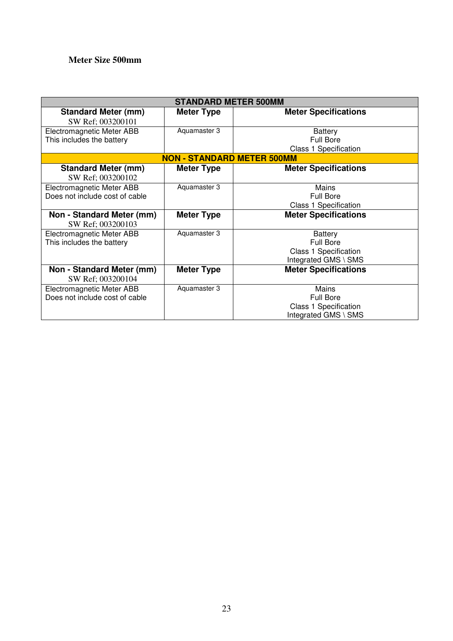# **Meter Size 500mm**

|                                                             | <b>STANDARD METER 500MM</b>       |                                                                                            |
|-------------------------------------------------------------|-----------------------------------|--------------------------------------------------------------------------------------------|
| <b>Standard Meter (mm)</b><br>SW Ref; 003200101             | <b>Meter Type</b>                 | <b>Meter Specifications</b>                                                                |
| Electromagnetic Meter ABB<br>This includes the battery      | Aquamaster 3                      | <b>Battery</b><br>Full Bore<br><b>Class 1 Specification</b>                                |
|                                                             | <b>NON - STANDARD METER 500MM</b> |                                                                                            |
| <b>Standard Meter (mm)</b><br>SW Ref; 003200102             | <b>Meter Type</b>                 | <b>Meter Specifications</b>                                                                |
| Electromagnetic Meter ABB<br>Does not include cost of cable | Aquamaster 3                      | <b>Mains</b><br><b>Full Bore</b><br><b>Class 1 Specification</b>                           |
| Non - Standard Meter (mm)<br>SW Ref; 003200103              | <b>Meter Type</b>                 | <b>Meter Specifications</b>                                                                |
| Electromagnetic Meter ABB<br>This includes the battery      | Aquamaster 3                      | <b>Battery</b><br><b>Full Bore</b><br><b>Class 1 Specification</b><br>Integrated GMS \ SMS |
| Non - Standard Meter (mm)<br>SW Ref; 003200104              | <b>Meter Type</b>                 | <b>Meter Specifications</b>                                                                |
| Electromagnetic Meter ABB<br>Does not include cost of cable | Aquamaster 3                      | Mains<br>Full Bore<br><b>Class 1 Specification</b><br>Integrated GMS \ SMS                 |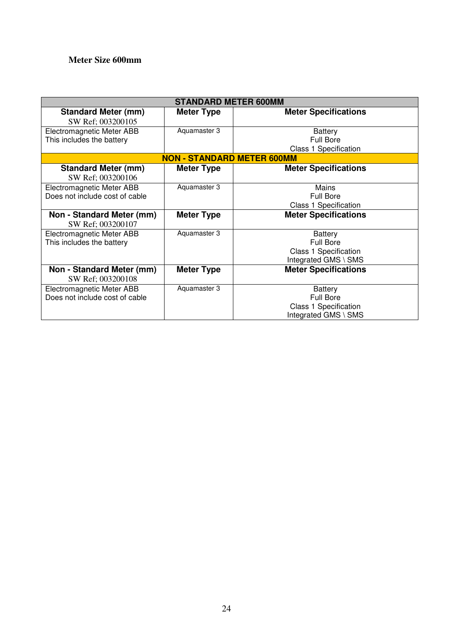#### **Meter Size 600mm**

|                                                             | <b>STANDARD METER 600MM</b>       |                                                                                            |
|-------------------------------------------------------------|-----------------------------------|--------------------------------------------------------------------------------------------|
| <b>Standard Meter (mm)</b><br>SW Ref; 003200105             | <b>Meter Type</b>                 | <b>Meter Specifications</b>                                                                |
| Electromagnetic Meter ABB<br>This includes the battery      | Aquamaster 3                      | <b>Battery</b><br><b>Full Bore</b><br><b>Class 1 Specification</b>                         |
|                                                             | <b>NON - STANDARD METER 600MM</b> |                                                                                            |
| <b>Standard Meter (mm)</b><br>SW Ref; 003200106             | <b>Meter Type</b>                 | <b>Meter Specifications</b>                                                                |
| Electromagnetic Meter ABB<br>Does not include cost of cable | Aquamaster 3                      | Mains<br><b>Full Bore</b><br><b>Class 1 Specification</b>                                  |
| Non - Standard Meter (mm)<br>SW Ref; 003200107              | <b>Meter Type</b>                 | <b>Meter Specifications</b>                                                                |
| Electromagnetic Meter ABB<br>This includes the battery      | Aquamaster 3                      | <b>Battery</b><br><b>Full Bore</b><br><b>Class 1 Specification</b><br>Integrated GMS \ SMS |
| Non - Standard Meter (mm)<br>SW Ref; 003200108              | <b>Meter Type</b>                 | <b>Meter Specifications</b>                                                                |
| Electromagnetic Meter ABB<br>Does not include cost of cable | Aquamaster 3                      | <b>Battery</b><br><b>Full Bore</b><br>Class 1 Specification<br>Integrated GMS \ SMS        |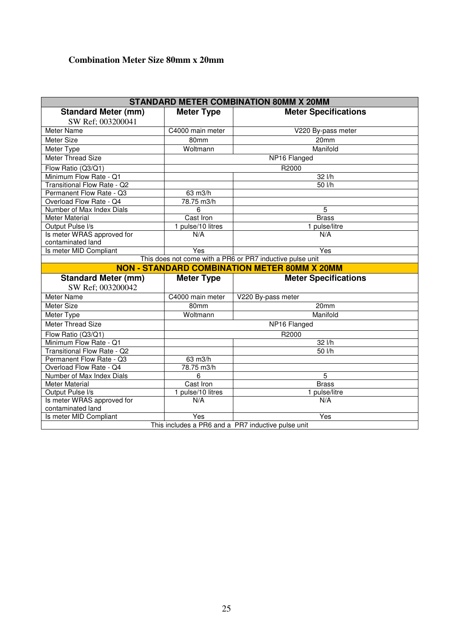## **Combination Meter Size 80mm x 20mm**

|                             |                   | <b>STANDARD METER COMBINATION 80MM X 20MM</b>             |
|-----------------------------|-------------------|-----------------------------------------------------------|
| <b>Standard Meter (mm)</b>  | <b>Meter Type</b> | <b>Meter Specifications</b>                               |
| SW Ref; 003200041           |                   |                                                           |
| Meter Name                  | C4000 main meter  | V220 By-pass meter                                        |
| Meter Size                  | 80mm              | 20 <sub>mm</sub>                                          |
| Meter Type                  | Woltmann          | Manifold                                                  |
| Meter Thread Size           |                   | NP16 Flanged                                              |
| Flow Ratio (Q3/Q1)          |                   | R2000                                                     |
| Minimum Flow Rate - Q1      |                   | 32 l/h                                                    |
| Transitional Flow Rate - Q2 |                   | 50 l/h                                                    |
| Permanent Flow Rate - Q3    | 63 m3/h           |                                                           |
| Overload Flow Rate - Q4     | 78.75 m3/h        |                                                           |
| Number of Max Index Dials   | 6                 | 5                                                         |
| <b>Meter Material</b>       | Cast Iron         | <b>Brass</b>                                              |
| Output Pulse I/s            | 1 pulse/10 litres | 1 pulse/litre                                             |
| Is meter WRAS approved for  | N/A               | N/A                                                       |
| contaminated land           |                   |                                                           |
| Is meter MID Compliant      | Yes               | Yes                                                       |
|                             |                   | This does not come with a PR6 or PR7 inductive pulse unit |
|                             |                   | <b>NON - STANDARD COMBINATION METER 80MM X 20MM</b>       |
|                             |                   |                                                           |
| <b>Standard Meter (mm)</b>  | <b>Meter Type</b> | <b>Meter Specifications</b>                               |
| SW Ref; 003200042           |                   |                                                           |
| Meter Name                  | C4000 main meter  | V220 By-pass meter                                        |
| Meter Size                  | 80mm              | 20mm                                                      |
| Meter Type                  | Woltmann          | Manifold                                                  |
| <b>Meter Thread Size</b>    |                   | NP16 Flanged                                              |
| Flow Ratio (Q3/Q1)          |                   | R2000                                                     |
| Minimum Flow Rate - Q1      |                   |                                                           |
| Transitional Flow Rate - Q2 |                   | 32 l/h<br>50 l/h                                          |
| Permanent Flow Rate - Q3    | 63 m3/h           |                                                           |
| Overload Flow Rate - Q4     | 78.75 m3/h        |                                                           |
| Number of Max Index Dials   | 6                 | 5                                                         |
| <b>Meter Material</b>       | Cast Iron         | <b>Brass</b>                                              |
| Output Pulse I/s            | 1 pulse/10 litres | 1 pulse/litre                                             |
| Is meter WRAS approved for  | N/A               | N/A                                                       |
| contaminated land           |                   |                                                           |
| Is meter MID Compliant      | Yes               | Yes<br>This includes a PR6 and a PR7 inductive pulse unit |